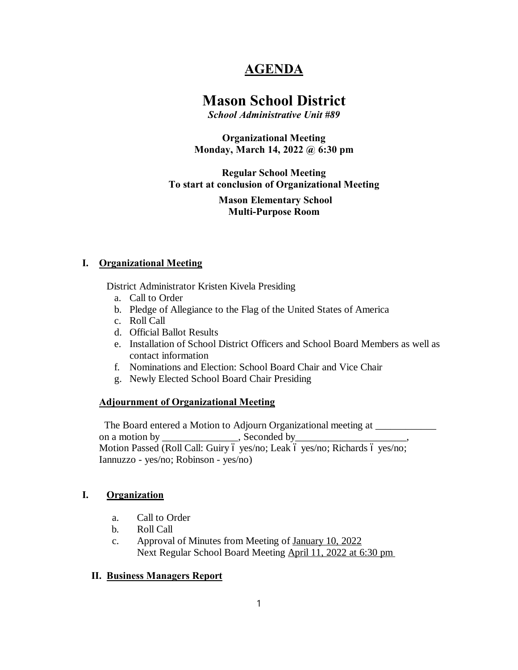# **AGENDA**

# **Mason School District**

*School Administrative Unit #89*

**Organizational Meeting Monday, March 14, 2022 @ 6:30 pm**

#### **Regular School Meeting To start at conclusion of Organizational Meeting**

**Mason Elementary School Multi-Purpose Room**

#### **I. Organizational Meeting**

District Administrator Kristen Kivela Presiding

- a. Call to Order
- b. Pledge of Allegiance to the Flag of the United States of America
- c. Roll Call
- d. Official Ballot Results
- e. Installation of School District Officers and School Board Members as well as contact information
- f. Nominations and Election: School Board Chair and Vice Chair
- g. Newly Elected School Board Chair Presiding

## **Adjournment of Organizational Meeting**

The Board entered a Motion to Adjourn Organizational meeting at \_\_\_\_\_\_\_\_\_\_\_\_\_\_\_\_ on a motion by \_\_\_\_\_\_\_\_\_\_\_\_\_\_\_, Seconded by Motion Passed (Roll Call: Guiry ó yes/no; Leak ó yes/no; Richards ó yes/no; Iannuzzo - yes/no; Robinson - yes/no)

#### **I. Organization**

- a. Call to Order
- b. Roll Call
- c. Approval of Minutes from Meeting of January 10, 2022 Next Regular School Board Meeting April 11, 2022 at 6:30 pm

#### **II. Business Managers Report**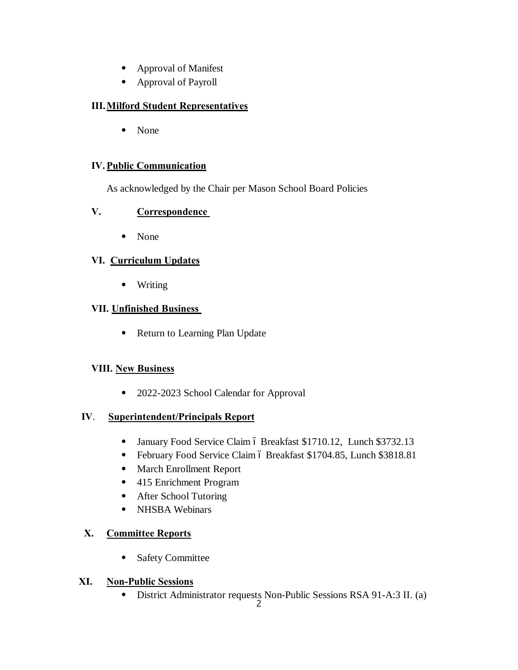- ⦁ Approval of Manifest
- ⦁ Approval of Payroll

## **III.Milford Student Representatives**

⦁ None

## **IV.Public Communication**

As acknowledged by the Chair per Mason School Board Policies

## **V. Correspondence**

⦁ None

## **VI. Curriculum Updates**

⦁ Writing

## **VII. Unfinished Business**

⦁ Return to Learning Plan Update

## **VIII. New Business**

⦁ 2022-2023 School Calendar for Approval

## **IV**. **Superintendent/Principals Report**

- January Food Service Claim ó Breakfast \$1710.12, Lunch \$3732.13
- February Food Service Claim ó Breakfast \$1704.85, Lunch \$3818.81
- ⦁ March Enrollment Report
- ⦁ 415 Enrichment Program
- ⦁ After School Tutoring
- ⦁ NHSBA Webinars

# **X. Committee Reports**

⦁ Safety Committee

## **XI. Non-Public Sessions**

⦁ District Administrator requests Non-Public Sessions RSA 91-A:3 II. (a)